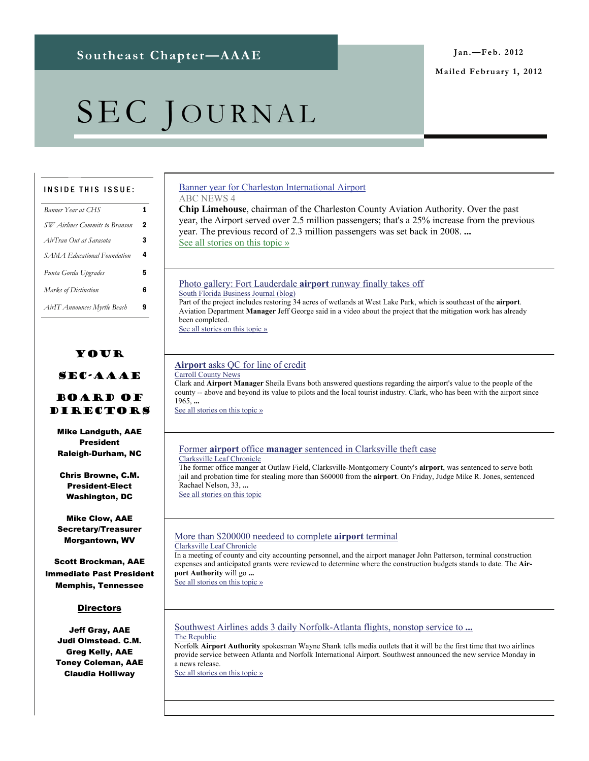#### **Mailed February 1, 2012**

# SEC JOURNAL

#### INSIDE THIS ISSUE:

| Banner Year at CHS             | 1 |
|--------------------------------|---|
| SW Airlines Commits to Branson | 2 |
| AirTran Out at Sarasota        | 3 |
| SAMA Educational Foundation    | 4 |
| Punta Gorda Upgrades           | 5 |
| Marks of Distinction           | 6 |
| AirIT Announces Myrtle Beach   | 9 |
|                                |   |

#### Your

#### SEC-AAAE

#### Board of Directors

Mike Landguth, AAE President Raleigh-Durham, NC

Chris Browne, C.M. President-Elect Washington, DC

Mike Clow, AAE Secretary/Treasurer Morgantown, WV

Scott Brockman, AAE Immediate Past President Memphis, Tennessee

#### **Directors**

Jeff Gray, AAE Judi Olmstead. C.M. Greg Kelly, AAE Toney Coleman, AAE Claudia Holliway

#### [Banner year for Charleston International Airport](http://www.google.com/url?sa=X&q=http://www.abcnews4.com/story/16557791/banner-year-for-charleston-international-airport&ct=ga&cad=CAcQARgBIAAoATAAOABAxavi-ARIAVAAWABiBWVuLVVT&cd=n0aN0O-QO2Y&usg=AFQjCNHHV_Hg6EPm7tNQ-HqZyUv9-S4_Ag) ABC NEWS 4

**Chip Limehouse**, chairman of the Charleston County Aviation Authority. Over the past year, the Airport served over 2.5 million passengers; that's a 25% increase from the previous year. The previous record of 2.3 million passengers was set back in 2008. **...** [See all stories on this topic »](http://www.google.com/url?sa=X&q=http://news.google.com/news/story%3Fncl%3Dhttp://www.abcnews4.com/story/16557791/banner-year-for-charleston-international-airport%26hl%3Den%26geo%3Dus&ct=ga&cad=CAcQARgBIAAoBjAAOABAxavi-ARIAVAAWABiBWVuLVVT&cd=n0aN0O-QO2Y&usg=AFQjCNFfkioPmXP03p-TvXnVlMAV9Cq1rw)

#### [Photo gallery: Fort Lauderdale](http://www.google.com/url?sa=X&q=http://www.bizjournals.com/southflorida/blog/2012/01/fll-runway-construction-starts-decades.html&ct=ga&cad=CAEQAhgAIAAoATAGOAZAyrT3-ARIAVAAWABiAmVu&cd=nJ43hnX0LMc&usg=AFQjCNGrBqYruA0wNRYsIAHW2jSKHWv01g) **airport** runway finally takes off

South Florida Business Journal (blog)

Part of the project includes restoring 34 acres of wetlands at West Lake Park, which is southeast of the **airport**. Aviation Department **Manager** Jeff George said in a video about the project that the mitigation work has already been completed.

[See all stories on this topic »](http://www.google.com/url?sa=X&q=http://news.google.com/news/story%3Fncl%3Dhttp://www.bizjournals.com/southflorida/blog/2012/01/fll-runway-construction-starts-decades.html%26hl%3Den%26geo%3Dus&ct=ga&cad=CAEQAhgAIAAoBjAGOAZAyrT3-ARIAVAAWABiAmVu&cd=nJ43hnX0LMc&usg=AFQjCNF5U51AklvkgCiTG1PxeLu2SdMeDg)

#### **Airport** [asks QC for line of credit](http://www.google.com/url?sa=X&q=http://www.carrollconews.com/story/1807681.html&ct=ga&cad=CAEQAhgAIAAoATAAOABAyrT3-ARIAVAAWABiAmVu&cd=nJ43hnX0LMc&usg=AFQjCNG7UEzv24rNkruyZ6U8gpzImvY54g) Carroll County News

Clark and **Airport Manager** Sheila Evans both answered questions regarding the airport's value to the people of the county -- above and beyond its value to pilots and the local tourist industry. Clark, who has been with the airport since 1965, **...**

[See all stories on this topic »](http://www.google.com/url?sa=X&q=http://news.google.com/news/story%3Fncl%3Dhttp://www.carrollconews.com/story/1807681.html%26hl%3Den%26geo%3Dus&ct=ga&cad=CAEQAhgAIAAoBjAAOABAyrT3-ARIAVAAWABiAmVu&cd=nJ43hnX0LMc&usg=AFQjCNFb53uXW7W62mYIap2FZ9kd4Dvf2A)

#### Former **airport** office **manager** [sentenced in Clarksville theft case](http://www.google.com/url?sa=X&q=http://www.theleafchronicle.com/article/20111219/NEWS01/111219002/Former-airport-office-manager-sentenced-Clarksville-theft-case%3Fodyssey%3Dnav%257Chead&ct=ga&cad=CAEQAhgAIAAoATAAOABAw-u-9wRIAVAAWABiAmVu&cd=RBt4tAHYwlw&usg=AFQjCNGCyK_gz3-kcAlCUjPet9qqbZcgLQ) Clarksville Leaf Chronicle

The former office manger at Outlaw Field, Clarksville-Montgomery County's **airport**, was sentenced to serve both jail and probation time for stealing more than \$60000 from the **airport**. On Friday, Judge Mike R. Jones, sentenced Rachael Nelson, 33, **...**

[See all stories on this topic](http://www.google.com/url?sa=X&q=http://news.google.com/news/story%3Fncl%3Dhttp://www.theleafchronicle.com/article/20111219/NEWS01/111219002/Former-airport-office-manager-sentenced-Clarksville-theft-case%253Fodyssey%253Dnav%25257Chead%26hl%3Den%26geo%3Dus&ct=ga&cad=CAEQAhgAIAAoBjAAOABAw-u-9wRIAVAAWABiAmVu&cd=RBt4tAHYwlw&usg=AFQjCNFXptUY1Z4W2bocf9ud1MaWCqLYrA) 

#### [More than \\$200000 needeed to complete](http://www.google.com/url?sa=X&q=http://www.theleafchronicle.com/article/20120123/NEWS/301230004/More-than-200-000-needeed-complete-airport-terminal%3Fodyssey%3Dnav%257Chead&ct=ga&cad=CAEQARgAIAAoATAAOABA-7H3-ARIAVAAWABiAmVu&cd=Q5C4lpCjK6U&usg=AFQjCNG0bAN1k4ugpxANj8jD6CS66DubWg) **airport** terminal Clarksville Leaf Chronicle

In a meeting of county and city accounting personnel, and the airport manager John Patterson, terminal construction expenses and anticipated grants were reviewed to determine where the construction budgets stands to date. The **Airport Authority** will go **...** [See all stories on this topic »](http://www.google.com/url?sa=X&q=http://news.google.com/news/story%3Fncl%3Dhttp://www.theleafchronicle.com/article/20120123/NEWS/301230004/More-than-200-000-needeed-complete-airport-terminal%253Fodyssey%253Dnav%25257Chead%26hl%3Den%26geo%3Dus&ct=ga&cad=CAEQARgAIAAoBjAAOABA-7H3-ARIAVAAWABiAmVu&cd=Q5C4lpCjK6U&usg=AFQjCNEqpnVx0ijr4059vd6Spfr2rjUdOQ)

[Southwest Airlines adds 3 daily Norfolk-Atlanta flights, nonstop service to](http://www.google.com/url?sa=X&q=http://www.therepublic.com/view/story/cc1eeacc7f334b3183aa1d835b1ee00b/VA--Southwest-Airlines-Norfolk/&ct=ga&cad=CAEQARgAIAAoATABOAFA-7H3-ARIAVAAWABiAmVu&cd=Q5C4lpCjK6U&usg=AFQjCNGIHMhoE6FnO0Rgl3wjd6n9B6dRRQ) **...**

The Republic

Norfolk **Airport Authority** spokesman Wayne Shank tells media outlets that it will be the first time that two airlines provide service between Atlanta and Norfolk International Airport. Southwest announced the new service Monday in a news release.

[See all stories on this topic »](http://www.google.com/url?sa=X&q=http://news.google.com/news/story%3Fncl%3Dhttp://www.therepublic.com/view/story/cc1eeacc7f334b3183aa1d835b1ee00b/VA--Southwest-Airlines-Norfolk/%26hl%3Den%26geo%3Dus&ct=ga&cad=CAEQARgAIAAoBjABOAFA-7H3-ARIAVAAWABiAmVu&cd=Q5C4lpCjK6U&usg=AFQjCNHhMOLxs-ADENUUqVsOivr9kVauCQ)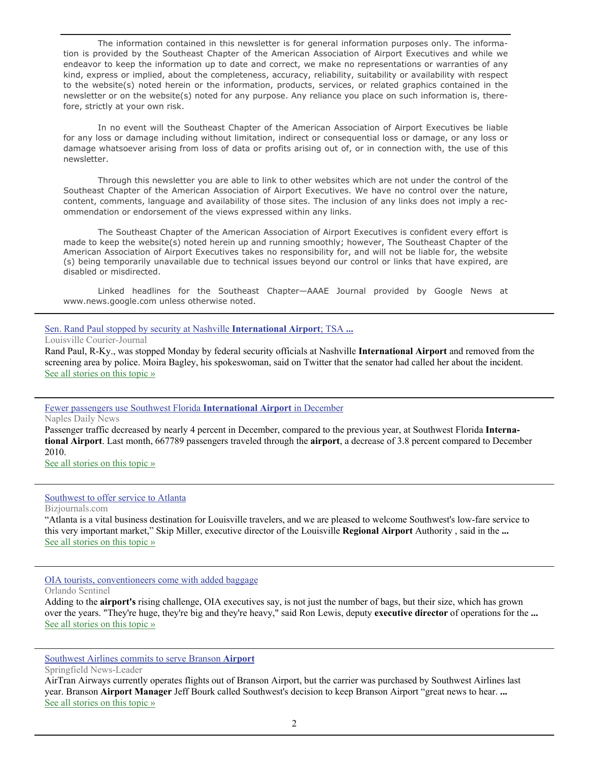The information contained in this newsletter is for general information purposes only. The information is provided by the Southeast Chapter of the American Association of Airport Executives and while we endeavor to keep the information up to date and correct, we make no representations or warranties of any kind, express or implied, about the completeness, accuracy, reliability, suitability or availability with respect to the website(s) noted herein or the information, products, services, or related graphics contained in the newsletter or on the website(s) noted for any purpose. Any reliance you place on such information is, therefore, strictly at your own risk.

 In no event will the Southeast Chapter of the American Association of Airport Executives be liable for any loss or damage including without limitation, indirect or consequential loss or damage, or any loss or damage whatsoever arising from loss of data or profits arising out of, or in connection with, the use of this newsletter.

 Through this newsletter you are able to link to other websites which are not under the control of the Southeast Chapter of the American Association of Airport Executives. We have no control over the nature, content, comments, language and availability of those sites. The inclusion of any links does not imply a recommendation or endorsement of the views expressed within any links.

 The Southeast Chapter of the American Association of Airport Executives is confident every effort is made to keep the website(s) noted herein up and running smoothly; however, The Southeast Chapter of the American Association of Airport Executives takes no responsibility for, and will not be liable for, the website (s) being temporarily unavailable due to technical issues beyond our control or links that have expired, are disabled or misdirected.

 Linked headlines for the Southeast Chapter—AAAE Journal provided by Google News at www.news.google.com unless otherwise noted.

#### [Sen. Rand Paul stopped by security at Nashville](http://www.google.com/url?sa=X&q=http://www.courier-journal.com/article/20120123/NEWS01/301230043/Sen-Rand-Paul-stopped-by-security-at-Nashville-International-Airport-TSA-says-he-was-never-detained%3Fodyssey%3Dtab%257Cmostpopular%257Ctext%257CFRONTPAGE&ct=ga&cad=CAEQARgAIAAoATAAOABApMH2-ARIAVAAWABiAmVu&cd=yNKTrB0awys&usg=AFQjCNH-kvIn_U0cKGBtq9YgyJomxngh3Q) **International Airport**; TSA **...**

Louisville Courier-Journal

Rand Paul, R-Ky., was stopped Monday by federal security officials at Nashville **International Airport** and removed from the screening area by police. Moira Bagley, his spokeswoman, said on Twitter that the senator had called her about the incident. [See all stories on this topic »](http://www.google.com/url?sa=X&q=http://news.google.com/news/story%3Fncl%3Dhttp://www.courier-journal.com/article/20120123/NEWS01/301230043/Sen-Rand-Paul-stopped-by-security-at-Nashville-International-Airport-TSA-says-he-was-never-detained%253Fodyssey%253Dtab%25257Cmostpopular%25257Ctext%25257CFRONTPAGE%26hl%3Den%26geo%3Dus&ct=ga&cad=CAEQARgAIAAoBjAAOABApMH2-ARIAVAAWABiAmVu&cd=yNKTrB0awys&usg=AFQjCNFVzRFV-GGXxTxsaDI3uuc2Ke_iYA)

#### [Fewer passengers use Southwest Florida](http://www.google.com/url?sa=X&q=http://www.naplesnews.com/news/2012/jan/23/fewer-passengers-use-southwest-florida-airport/&ct=ga&cad=CAEQARgAIAAoATACOAJApMH2-ARIAVAAWABiAmVu&cd=yNKTrB0awys&usg=AFQjCNEI0W5zGji1L5grL0EuDSydWMUcHg) **International Airport** in December

Naples Daily News

Passenger traffic decreased by nearly 4 percent in December, compared to the previous year, at Southwest Florida **International Airport**. Last month, 667789 passengers traveled through the **airport**, a decrease of 3.8 percent compared to December 2010.

[See all stories on this topic »](http://www.google.com/url?sa=X&q=http://news.google.com/news/story%3Fncl%3Dhttp://www.naplesnews.com/news/2012/jan/23/fewer-passengers-use-southwest-florida-airport/%26hl%3Den%26geo%3Dus&ct=ga&cad=CAEQARgAIAAoBjACOAJApMH2-ARIAVAAWABiAmVu&cd=yNKTrB0awys&usg=AFQjCNG16VpDVkNTJEKEVzmS_2ModCCkhw)

#### [Southwest to offer service to Atlanta](http://www.google.com/url?sa=X&q=http://www.bizjournals.com/louisville/news/2012/01/23/southwest-to-offer-service-to-atlanta.html&ct=ga&cad=CAEQARgAIAAoATAAOABAktr2-ARIAVAAWABiAmVu&cd=2CTpG-xQXNo&usg=AFQjCNGQbdEDlyGz3l7O7qPSrUsRHjqrVg)

Bizjournals.com

"Atlanta is a vital business destination for Louisville travelers, and we are pleased to welcome Southwest's low-fare service to this very important market," Skip Miller, executive director of the Louisville **Regional Airport** Authority , said in the **...** [See all stories on this topic »](http://www.google.com/url?sa=X&q=http://news.google.com/news/story%3Fncl%3Dhttp://www.bizjournals.com/louisville/news/2012/01/23/southwest-to-offer-service-to-atlanta.html%26hl%3Den%26geo%3Dus&ct=ga&cad=CAEQARgAIAAoBjAAOABAktr2-ARIAVAAWABiAmVu&cd=2CTpG-xQXNo&usg=AFQjCNGiwrqhO1sc7FHhOc8tCrL2xVLPzw)

#### [OIA tourists, conventioneers come with added baggage](http://www.google.com/url?sa=X&q=http://www.orlandosentinel.com/business/os-cfb-cover-oia-luggage-0123-20120122,0,6658086.story&ct=ga&cad=CAEQAhgAIAAoATABOAFAhpz2-ARIAVAAWABiAmVu&cd=6H4dCADVu00&usg=AFQjCNGuogYCI6saeD366PoV2tx-99ujYQ)

Orlando Sentinel

Adding to the **airport's** rising challenge, OIA executives say, is not just the number of bags, but their size, which has grown over the years. "They're huge, they're big and they're heavy," said Ron Lewis, deputy **executive director** of operations for the **...** [See all stories on this topic »](http://www.google.com/url?sa=X&q=http://news.google.com/news/story%3Fncl%3Dhttp://www.orlandosentinel.com/business/os-cfb-cover-oia-luggage-0123-20120122,0,6658086.story%26hl%3Den%26geo%3Dus&ct=ga&cad=CAEQAhgAIAAoBjABOAFAhpz2-ARIAVAAWABiAmVu&cd=6H4dCADVu00&usg=AFQjCNESgAEXSegQRUYz1CSKU32UNl4Dxw)

#### [Southwest Airlines commits to serve Branson](http://www.google.com/url?sa=X&q=http://www.news-leader.com/article/20120120/NEWS01/301200066/0/NEWS04/%3Fodyssey%3Dnav%257Chead&ct=ga&cad=CAEQAhgAIAAoATAAOABAwcvn-ARIAVAAWABiAmVu&cd=icjzQdbtYMA&usg=AFQjCNH5V8H9ZzxpL5FuuN52udS24ubwNA) **Airport**

Springfield News-Leader

AirTran Airways currently operates flights out of Branson Airport, but the carrier was purchased by Southwest Airlines last year. Branson **Airport Manager** Jeff Bourk called Southwest's decision to keep Branson Airport "great news to hear. **...** [See all stories on this topic »](http://www.google.com/url?sa=X&q=http://news.google.com/news/story%3Fncl%3Dhttp://www.news-leader.com/article/20120120/NEWS01/301200066/0/NEWS04/%253Fodyssey%253Dnav%25257Chead%26hl%3Den%26geo%3Dus&ct=ga&cad=CAEQAhgAIAAoBjAAOABAwcvn-ARIAVAAWABiAmVu&cd=icjzQdbtYMA&usg=AFQjCNEHXT2k_aJlpTASjL93zs2WkoqpTQ)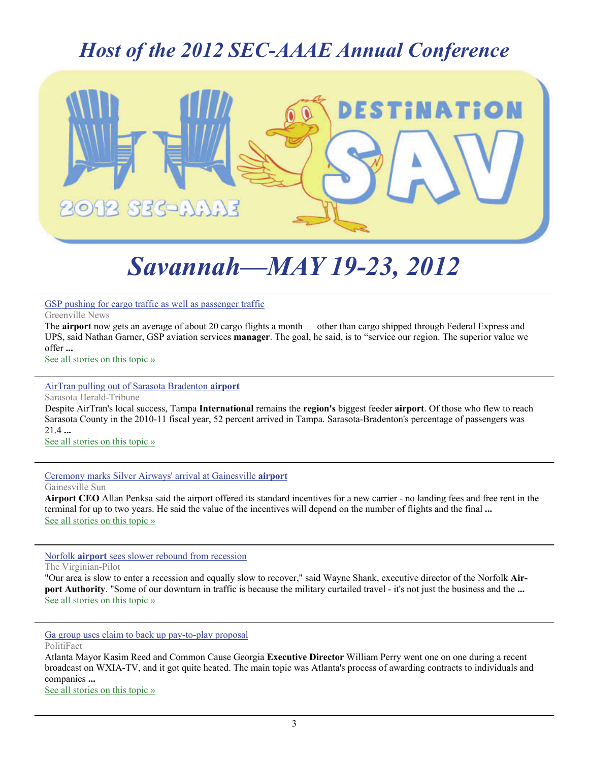### *Host of the 2012 SEC-AAAE Annual Conference*



## *Savannah—MAY 19-23, 2012*

#### [GSP pushing for cargo traffic as well as passenger traffic](http://www.google.com/url?sa=X&q=http://www.greenvilleonline.com/article/20120120/NEWS/301200029/GSP-pushing-cargo-traffic-well-passenger-traffic%3Fodyssey%3Dmod%257Cnewswell%257Ctext%257C%257Cp&ct=ga&cad=CAEQAhgAIAAoATAGOAZAwcvn-ARIAVAAWABiAmVu&cd=icjzQdbtYMA&usg=AFQjCNGtBnHgUS_Jc8MM7vzt13VJ2qEUjg)

Greenville News

The **airport** now gets an average of about 20 cargo flights a month — other than cargo shipped through Federal Express and UPS, said Nathan Garner, GSP aviation services **manager**. The goal, he said, is to "service our region. The superior value we offer **...** [See all stories on this topic »](http://www.google.com/url?sa=X&q=http://news.google.com/news/story%3Fncl%3Dhttp://www.greenvilleonline.com/article/20120120/NEWS/301200029/GSP-pushing-cargo-traffic-well-passenger-traffic%253Fodyssey%253Dmod%25257Cnewswell%25257Ctext%25257C%25257Cp%26hl%3Den%26geo%3Dus&ct=ga&cad=CAEQAhgAIAAoBjAGOAZAwcvn-ARIAVAAWABiAmVu&cd=icjzQdbtYMA&usg=AFQjCNGPdqKl-h8mTdEOhaBfLtqjMsYx4Q)

#### [AirTran pulling out of Sarasota Bradenton](http://www.google.com/url?sa=X&q=http://www.heraldtribune.com/article/20120120/ARTICLE/120129951&ct=ga&cad=CAEQARgAIAAoATAAOABArMro-ARIAVAAWABiAmVu&cd=yvRTEHeHCE8&usg=AFQjCNHpfz0dpz_lyqa1WiPFSW3Vf5VrUA) **airport**

Sarasota Herald-Tribune Despite AirTran's local success, Tampa **International** remains the **region's** biggest feeder **airport**. Of those who flew to reach Sarasota County in the 2010-11 fiscal year, 52 percent arrived in Tampa. Sarasota-Bradenton's percentage of passengers was 21.4 **...** [See all stories on this topic »](http://www.google.com/url?sa=X&q=http://news.google.com/news/story%3Fncl%3Dhttp://www.heraldtribune.com/article/20120120/ARTICLE/120129951%26hl%3Den%26geo%3Dus&ct=ga&cad=CAEQARgAIAAoBjAAOABArMro-ARIAVAAWABiAmVu&cd=yvRTEHeHCE8&usg=AFQjCNFctUGvHjn02o0bicHpk2jMmhkE6Q)

[Ceremony marks Silver Airways' arrival at Gainesville](http://www.google.com/url?sa=X&q=http://www.gainesville.com/article/20120120/ARTICLES/120129961/-1/entertainment%3FTitle%3DCeremony-marks-Silver-Airways-8217-arrival-at-Gainesville-airport&ct=ga&cad=CAEQAhgAIAAoATAAOABA6czo-ARIAVAAWABiAmVu&cd=dWVRgavzDkY&usg=AFQjCNEiQpp5b7EfwbGORN4fSAY-CSF-Gg) **airport** Gainesville Sun

**Airport CEO** Allan Penksa said the airport offered its standard incentives for a new carrier - no landing fees and free rent in the terminal for up to two years. He said the value of the incentives will depend on the number of flights and the final **...** [See all stories on this topic »](http://www.google.com/url?sa=X&q=http://news.google.com/news/story%3Fncl%3Dhttp://www.gainesville.com/article/20120120/ARTICLES/120129961/-1/entertainment%253FTitle%253DCeremony-marks-Silver-Airways-8217-arrival-at-Gainesville-airport%26hl%3Den%26geo%3Dus&ct=ga&cad=CAEQAhgAIAAoBjAAOABA6czo-ARIAVAAWABiAmVu&cd=dWVRgavzDkY&usg=AFQjCNG0DXXTn1CQDlnjTFbdlGei7aP61w)

Norfolk **airport** [sees slower rebound from recession](http://www.google.com/url?sa=X&q=http://hamptonroads.com/2012/01/norfolk-airport-sees-slower-rebound-recession&ct=ga&cad=CAEQARgAIAAoATABOAFAtuDo-ARIAVAAWABiAmVu&cd=eGwnrAdl12M&usg=AFQjCNG7AaZ3kZe9UE4Y2Hx4SBGaX7-4pg)

The Virginian-Pilot

"Our area is slow to enter a recession and equally slow to recover," said Wayne Shank, executive director of the Norfolk **Airport Authority**. "Some of our downturn in traffic is because the military curtailed travel - it's not just the business and the **...** [See all stories on this topic »](http://www.google.com/url?sa=X&q=http://news.google.com/news/story%3Fncl%3Dhttp://hamptonroads.com/2012/01/norfolk-airport-sees-slower-rebound-recession%26hl%3Den%26geo%3Dus&ct=ga&cad=CAEQARgAIAAoBjABOAFAtuDo-ARIAVAAWABiAmVu&cd=eGwnrAdl12M&usg=AFQjCNEzBE2cB4CN-48qOOHW6aVaHP0tWA)

[Ga group uses claim to back up pay-to-play proposal](http://www.google.com/url?sa=X&q=http://www.politifact.com/georgia/statements/2012/jan/23/william-perry/ga-group-uses-claim-back-pay-play-proposal/&ct=ga&cad=CAEQAhgAIAAoATACOAJAhpz2-ARIAVAAWABiAmVu&cd=6H4dCADVu00&usg=AFQjCNHHIUKlb-LgsSU0E7qJC7zisyT8AA)

PolitiFact

Atlanta Mayor Kasim Reed and Common Cause Georgia **Executive Director** William Perry went one on one during a recent broadcast on WXIA-TV, and it got quite heated. The main topic was Atlanta's process of awarding contracts to individuals and companies **...**

[See all stories on this topic »](http://www.google.com/url?sa=X&q=http://news.google.com/news/story%3Fncl%3Dhttp://www.politifact.com/georgia/statements/2012/jan/23/william-perry/ga-group-uses-claim-back-pay-play-proposal/%26hl%3Den%26geo%3Dus&ct=ga&cad=CAEQAhgAIAAoBjACOAJAhpz2-ARIAVAAWABiAmVu&cd=6H4dCADVu00&usg=AFQjCNG0NnNewsk_6q1AWijYWvN1sW7x9Q)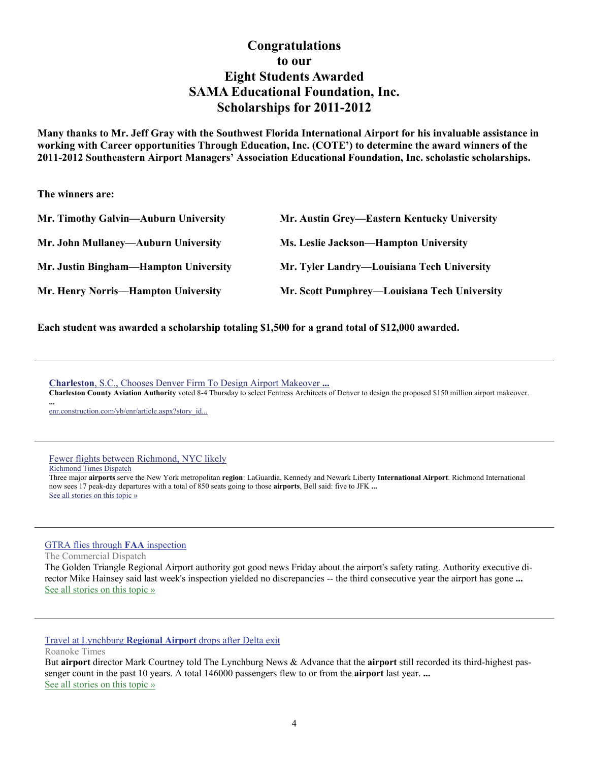#### **Congratulations to our Eight Students Awarded SAMA Educational Foundation, Inc. Scholarships for 2011-2012**

**Many thanks to Mr. Jeff Gray with the Southwest Florida International Airport for his invaluable assistance in working with Career opportunities Through Education, Inc. (COTE') to determine the award winners of the 2011-2012 Southeastern Airport Managers' Association Educational Foundation, Inc. scholastic scholarships.** 

**The winners are:** 

**...**

| Mr. Timothy Galvin—Auburn University  | Mr. Austin Grey—Eastern Kentucky University  |
|---------------------------------------|----------------------------------------------|
| Mr. John Mullaney—Auburn University   | Ms. Leslie Jackson—Hampton University        |
| Mr. Justin Bingham—Hampton University | Mr. Tyler Landry-Louisiana Tech University   |
| Mr. Henry Norris-Hampton University   | Mr. Scott Pumphrey—Louisiana Tech University |

**Each student was awarded a scholarship totaling \$1,500 for a grand total of \$12,000 awarded.** 

**Charleston**[, S.C., Chooses Denver Firm To Design Airport Makeover](http://www.google.com/url?sa=X&q=http://enr.construction.com/yb/enr/article.aspx%3Fstory_id%3D166997110&ct=ga&cad=CAcQARgBIAEoATAAOABA_tW59wRIAVgAYgVlbi1VUw&cd=-2_xb6OEimA&usg=AFQjCNG4kGf7QWk5K8Zb2sdcmySngRQKKQ) **...**

**Charleston County Aviation Authority** voted 8-4 Thursday to select Fentress Architects of Denver to design the proposed \$150 million airport makeover.

[enr.construction.com/yb/enr/article.aspx?story\\_id...](http://www.google.com/url?sa=X&q=http://enr.construction.com/yb/enr/article.aspx%3Fstory_id%3D166997110&ct=ga&cad=CAcQARgBIAEoBDAAOABA_tW59wRIAVgAYgVlbi1VUw&cd=-2_xb6OEimA&usg=AFQjCNG4kGf7QWk5K8Zb2sdcmySngRQKKQ)

[Fewer flights between Richmond, NYC likely](http://www.google.com/url?sa=X&q=http://www2.timesdispatch.com/business/2011/dec/16/1/deal-could-mean-fewer-flights-from-ric-to-new-york-ar-1549523/&ct=ga&cad=CAEQARgAIAAoATABOAFAt9iw9wRIAVAAWABiAmVu&cd=ac1mR8gk3ps&usg=AFQjCNET4yXndcAajumkRgPLzjiT7LO2mA) Richmond Times Dispatch Three major **airports** serve the New York metropolitan **region**: LaGuardia, Kennedy and Newark Liberty **International Airport**. Richmond International now sees 17 peak-day departures with a total of 850 seats going to those **airports**, Bell said: five to JFK **...** [See all stories on this topic »](http://www.google.com/url?sa=X&q=http://news.google.com/news/story%3Fncl%3Dhttp://www2.timesdispatch.com/business/2011/dec/16/1/deal-could-mean-fewer-flights-from-ric-to-new-york-ar-1549523/%26hl%3Den%26geo%3Dus&ct=ga&cad=CAEQARgAIAAoBjABOAFAt9iw9wRIAVAAWABiAmVu&cd=ac1mR8gk3ps&usg=AFQjCNGVmhgmFFpDxK0V3O1ZCDZnUuE9MA)

[GTRA flies through](http://www.google.com/url?sa=X&q=http://www.cdispatch.com/news/article.asp%3Faid%3D15209&ct=ga&cad=CAcQARgAIAAoATAAOABArrDp-ARIAVAAWABiBWVuLVVT&cd=ij2VlKRwzro&usg=AFQjCNG9oRrD-qwXafndPYf0msu6LX9nyg) **FAA** inspection

The Commercial Dispatch

The Golden Triangle Regional Airport authority got good news Friday about the airport's safety rating. Authority executive director Mike Hainsey said last week's inspection yielded no discrepancies -- the third consecutive year the airport has gone **...** [See all stories on this topic »](http://www.google.com/url?sa=X&q=http://news.google.com/news/story%3Fncl%3Dhttp://www.cdispatch.com/news/article.asp%253Faid%253D15209%26hl%3Den%26geo%3Dus&ct=ga&cad=CAcQARgAIAAoBjAAOABArrDp-ARIAVAAWABiBWVuLVVT&cd=ij2VlKRwzro&usg=AFQjCNGnznSboHFwiAuaNpBQPAg0tD0XOQ)

Travel at Lynchburg **Regional Airport** [drops after Delta exit](http://www.google.com/url?sa=X&q=http://www.roanoke.com/business/wb/303807&ct=ga&cad=CAEQARgAIAAoATAAOABAjtXp-ARIAVAAWABiAmVu&cd=89QelAR3Kww&usg=AFQjCNGt97bgx5-_7R0XMU8UNNPx7yoERA)

Roanoke Times

But **airport** director Mark Courtney told The Lynchburg News & Advance that the **airport** still recorded its third-highest passenger count in the past 10 years. A total 146000 passengers flew to or from the **airport** last year. **...** [See all stories on this topic »](http://www.google.com/url?sa=X&q=http://news.google.com/news/story%3Fncl%3Dhttp://www.roanoke.com/business/wb/303807%26hl%3Den%26geo%3Dus&ct=ga&cad=CAEQARgAIAAoBjAAOABAjtXp-ARIAVAAWABiAmVu&cd=89QelAR3Kww&usg=AFQjCNH3AqClauN5ShRRY6QMTlGLBc-s4g)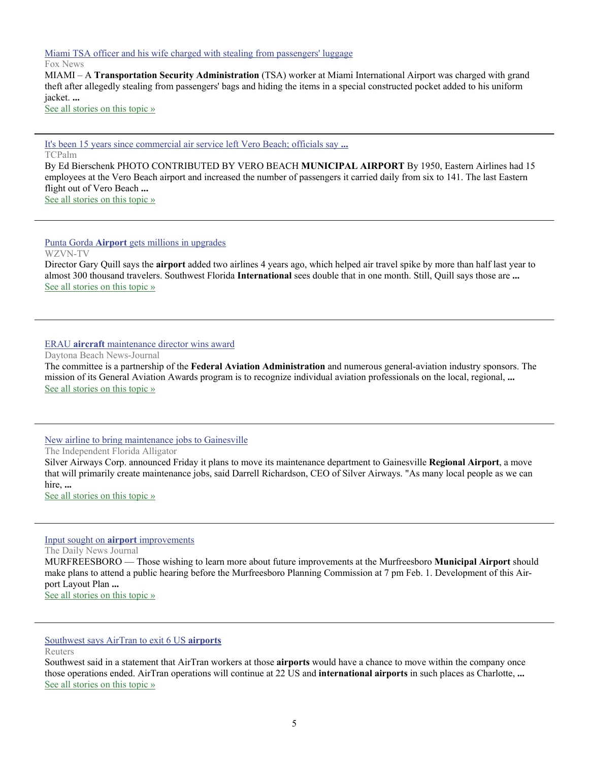[Miami TSA officer and his wife charged with stealing from passengers' luggage](http://www.google.com/url?sa=X&q=http://www.foxnews.com/us/2012/01/21/miami-tsa-officer-and-his-wife-charged-with-stealing-from-passengers-luggage/&ct=ga&cad=CAEQARgAIAAoATAAOABAvfPp-ARIAVAAWABiAmVu&cd=W8SbJdkveVk&usg=AFQjCNGT-cO05lx_VYjUSzwlE_7Ncsm5Nw)

Fox News

MIAMI – A **Transportation Security Administration** (TSA) worker at Miami International Airport was charged with grand theft after allegedly stealing from passengers' bags and hiding the items in a special constructed pocket added to his uniform jacket. **...**

[See all stories on this topic »](http://www.google.com/url?sa=X&q=http://news.google.com/news/story%3Fncl%3Dhttp://www.foxnews.com/us/2012/01/21/miami-tsa-officer-and-his-wife-charged-with-stealing-from-passengers-luggage/%26hl%3Den%26geo%3Dus&ct=ga&cad=CAEQARgAIAAoBjAAOABAvfPp-ARIAVAAWABiAmVu&cd=W8SbJdkveVk&usg=AFQjCNG6hIfrrAr4LY-6fRd0QLaUjqyIXg)

[It's been 15 years since commercial air service left Vero Beach; officials say](http://www.google.com/url?sa=X&q=http://www.tcpalm.com/news/2012/jan/21/its-been-15-years-since-commercial-air-service/&ct=ga&cad=CAEQARgAIAAoATABOAFA75vu-ARIAVAAWABiAmVu&cd=mHEc6NdR0ak&usg=AFQjCNEH7v_nmtwd5P50OZOMUHn523uGcQ) **...**

TCPalm

By Ed Bierschenk PHOTO CONTRIBUTED BY VERO BEACH **MUNICIPAL AIRPORT** By 1950, Eastern Airlines had 15 employees at the Vero Beach airport and increased the number of passengers it carried daily from six to 141. The last Eastern flight out of Vero Beach **...** [See all stories on this topic »](http://www.google.com/url?sa=X&q=http://news.google.com/news/story%3Fncl%3Dhttp://www.tcpalm.com/news/2012/jan/21/its-been-15-years-since-commercial-air-service/%26hl%3Den%26geo%3Dus&ct=ga&cad=CAEQARgAIAAoBjABOAFA75vu-ARIAVAAWABiAmVu&cd=mHEc6NdR0ak&usg=AFQjCNFVSVehQ8bXJOgYY9_-1KzzEKgu5g)

Punta Gorda **Airport** [gets millions in upgrades](http://www.google.com/url?sa=X&q=http://www.abc-7.com/story/16575240/punta-gorda-airport-gets-millions-in-upgrades&ct=ga&cad=CAEQARgAIAAoATAEOARApqbz-ARIAVAAWABiAmVu&cd=-wOqQQuGDuM&usg=AFQjCNEApV2wOs3c5XN26JDPypAC1vY62A)

WZVN-TV

Director Gary Quill says the **airport** added two airlines 4 years ago, which helped air travel spike by more than half last year to almost 300 thousand travelers. Southwest Florida **International** sees double that in one month. Still, Quill says those are **...** [See all stories on this topic »](http://www.google.com/url?sa=X&q=http://news.google.com/news/story%3Fncl%3Dhttp://www.abc-7.com/story/16575240/punta-gorda-airport-gets-millions-in-upgrades%26hl%3Den%26geo%3Dus&ct=ga&cad=CAEQARgAIAAoBjAEOARApqbz-ARIAVAAWABiAmVu&cd=-wOqQQuGDuM&usg=AFQjCNEuCshwutC-gRRuUruWdPhadsq1GA)

#### ERAU **aircraft** [maintenance director wins award](http://www.google.com/url?sa=X&q=http://www.news-journalonline.com/news/local/east-volusia/2012/01/23/erau-aircraft-maintenance-director-wins-award.html&ct=ga&cad=CAcQARgAIAAoATAAOABA4I30-ARIAVAAWABiBWVuLVVT&cd=k1ZF5Y5x6Bk&usg=AFQjCNHlNAMiM-XOFaHMX9zLJGc0IXE7Tw)

Daytona Beach News-Journal

The committee is a partnership of the **Federal Aviation Administration** and numerous general-aviation industry sponsors. The mission of its General Aviation Awards program is to recognize individual aviation professionals on the local, regional, **...** [See all stories on this topic »](http://www.google.com/url?sa=X&q=http://news.google.com/news/story%3Fncl%3Dhttp://www.news-journalonline.com/news/local/east-volusia/2012/01/23/erau-aircraft-maintenance-director-wins-award.html%26hl%3Den%26geo%3Dus&ct=ga&cad=CAcQARgAIAAoBjAAOABA4I30-ARIAVAAWABiBWVuLVVT&cd=k1ZF5Y5x6Bk&usg=AFQjCNEK0o1i636Y8pO-YuspFNxB_gumqA)

#### [New airline to bring maintenance jobs to Gainesville](http://www.google.com/url?sa=X&q=http://www.alligator.org/news/local/article_c70f5cae-4587-11e1-b479-0019bb2963f4.html&ct=ga&cad=CAEQARgAIAAoATAAOABA-t30-ARIAVAAWABiAmVu&cd=gA2ouuecGGs&usg=AFQjCNHkJwCy3DaCMgRmedGiBthBvtNjFA)

The Independent Florida Alligator

Silver Airways Corp. announced Friday it plans to move its maintenance department to Gainesville **Regional Airport**, a move that will primarily create maintenance jobs, said Darrell Richardson, CEO of Silver Airways. "As many local people as we can hire, **...**

[See all stories on this topic »](http://www.google.com/url?sa=X&q=http://news.google.com/news/story%3Fncl%3Dhttp://www.alligator.org/news/local/article_c70f5cae-4587-11e1-b479-0019bb2963f4.html%26hl%3Den%26geo%3Dus&ct=ga&cad=CAEQARgAIAAoBjAAOABA-t30-ARIAVAAWABiAmVu&cd=gA2ouuecGGs&usg=AFQjCNFLfH2jCv-dTVF7foLJLiwCLnc8dA)

#### [Input sought on](http://www.google.com/url?sa=X&q=http://www.dnj.com/article/20120123/NEWS01/201230310&ct=ga&cad=CAEQARgAIAAoATAAOABA29_0-ARIAVAAWABiAmVu&cd=kTiWlNwM0VQ&usg=AFQjCNEWQtKB4WG0ZVn7L_85qJT8gMnS9Q) **airport** improvements

The Daily News Journal

MURFREESBORO — Those wishing to learn more about future improvements at the Murfreesboro **Municipal Airport** should make plans to attend a public hearing before the Murfreesboro Planning Commission at 7 pm Feb. 1. Development of this Airport Layout Plan **...**

[See all stories on this topic »](http://www.google.com/url?sa=X&q=http://news.google.com/news/story%3Fncl%3Dhttp://www.dnj.com/article/20120123/NEWS01/201230310%26hl%3Den%26geo%3Dus&ct=ga&cad=CAEQARgAIAAoBjAAOABA29_0-ARIAVAAWABiAmVu&cd=kTiWlNwM0VQ&usg=AFQjCNFXCziLC9RRnAiyAdaENiHI0duDiA)

[Southwest says AirTran to exit 6 US](http://www.google.com/url?sa=X&q=http://www.reuters.com/article/2012/01/23/uk-southwest-idUSLNE80M00L20120123&ct=ga&cad=CAEQARgAIAAoATAEOARAl6D1-ARIAVAAWABiAmVu&cd=HN3A3K8HTmY&usg=AFQjCNHFIuffO-iunwCZUvecGNSu4OFPNg) **airports**

Reuters

Southwest said in a statement that AirTran workers at those **airports** would have a chance to move within the company once those operations ended. AirTran operations will continue at 22 US and **international airports** in such places as Charlotte, **...** [See all stories on this topic »](http://www.google.com/url?sa=X&q=http://news.google.com/news/story%3Fncl%3Dhttp://www.reuters.com/article/2012/01/23/uk-southwest-idUSLNE80M00L20120123%26hl%3Den%26geo%3Dus&ct=ga&cad=CAEQARgAIAAoBjAEOARAl6D1-ARIAVAAWABiAmVu&cd=HN3A3K8HTmY&usg=AFQjCNHZYvgzxUFmPaXpCjKAw7sLg8JtYQ)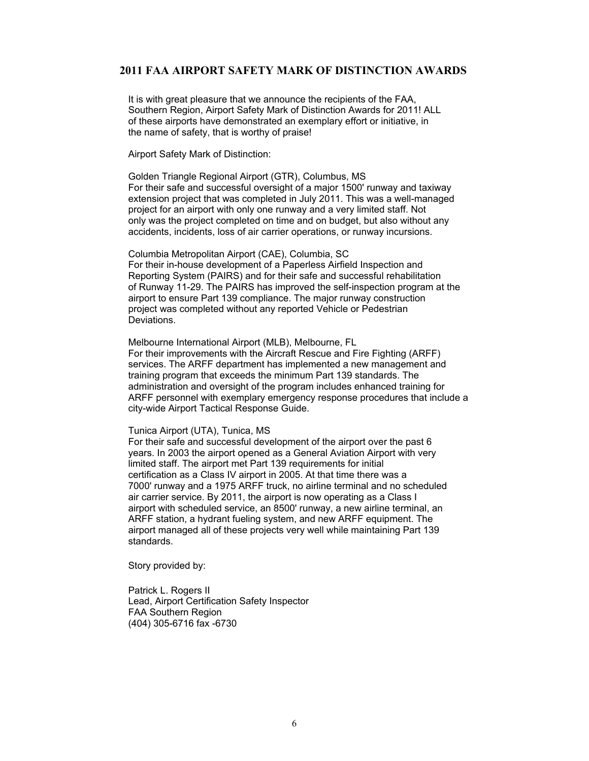#### **2011 FAA AIRPORT SAFETY MARK OF DISTINCTION AWARDS**

It is with great pleasure that we announce the recipients of the FAA, Southern Region, Airport Safety Mark of Distinction Awards for 2011! ALL of these airports have demonstrated an exemplary effort or initiative, in the name of safety, that is worthy of praise!

Airport Safety Mark of Distinction:

Golden Triangle Regional Airport (GTR), Columbus, MS For their safe and successful oversight of a major 1500' runway and taxiway extension project that was completed in July 2011. This was a well-managed project for an airport with only one runway and a very limited staff. Not only was the project completed on time and on budget, but also without any accidents, incidents, loss of air carrier operations, or runway incursions.

Columbia Metropolitan Airport (CAE), Columbia, SC For their in-house development of a Paperless Airfield Inspection and Reporting System (PAIRS) and for their safe and successful rehabilitation of Runway 11-29. The PAIRS has improved the self-inspection program at the airport to ensure Part 139 compliance. The major runway construction project was completed without any reported Vehicle or Pedestrian Deviations.

Melbourne International Airport (MLB), Melbourne, FL For their improvements with the Aircraft Rescue and Fire Fighting (ARFF) services. The ARFF department has implemented a new management and training program that exceeds the minimum Part 139 standards. The administration and oversight of the program includes enhanced training for ARFF personnel with exemplary emergency response procedures that include a city-wide Airport Tactical Response Guide.

#### Tunica Airport (UTA), Tunica, MS

For their safe and successful development of the airport over the past 6 years. In 2003 the airport opened as a General Aviation Airport with very limited staff. The airport met Part 139 requirements for initial certification as a Class IV airport in 2005. At that time there was a 7000' runway and a 1975 ARFF truck, no airline terminal and no scheduled air carrier service. By 2011, the airport is now operating as a Class I airport with scheduled service, an 8500' runway, a new airline terminal, an ARFF station, a hydrant fueling system, and new ARFF equipment. The airport managed all of these projects very well while maintaining Part 139 standards.

Story provided by:

Patrick L. Rogers II Lead, Airport Certification Safety Inspector FAA Southern Region (404) 305-6716 fax -6730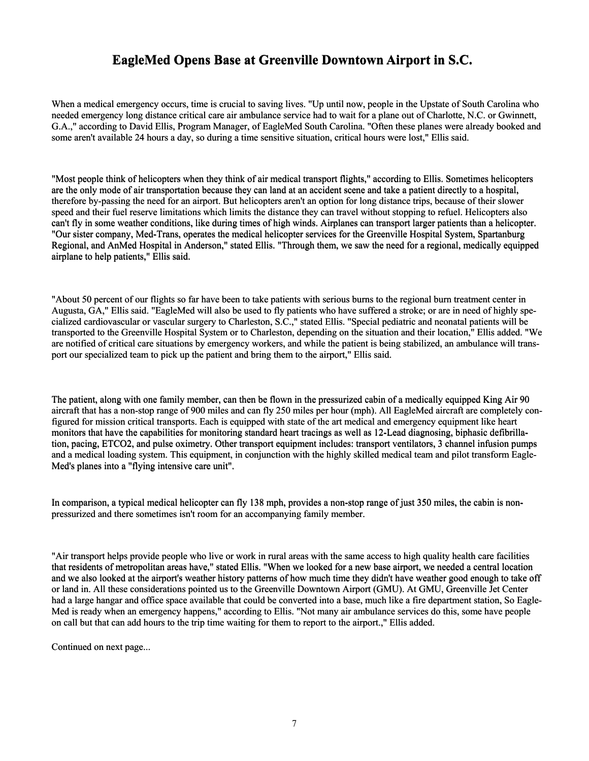#### **EagleMed Opens Base at Greenville Downtown Airport in S.C.**

When a medical emergency occurs, time is crucial to saving lives. "Up until now, people in the Upstate of South Carolina who needed emergency long distance critical care air ambulance service had to wait for a plane out of Charlotte, N.C. or Gwinnett, G.A.," according to David Ellis, Program Manager, of EagleMed South Carolina. "Often these planes were already booked and some aren't available 24 hours a day, so during a time sensitive situation, critical hours were lost," Ellis said.

"Most people think of helicopters when they think of air medical transport flights," according to Ellis. Sometimes helicopters are the only mode of air transportation because they can land at an accident scene and take a patient directly to a hospital, therefore by-passing the need for an airport. But helicopters aren't an option for long distance trips, because of their slower speed and their fuel reserve limitations which limits the distance they can travel without stopping to refuel. Helicopters also speed and their fuel reserve limitations which limits the distance they can travel without stopping to refuel. Helicopters also<br>can't fly in some weather conditions, like during times of high winds. Airplanes can transport "Our sister company, Med-Trans, operates the medical helicopter services for the Greenville Hospital System, Spartanburg Regional, and AnMed Hospital in Anderson," stated Ellis. "Through them, we saw the need for a regional, medically equipped airplane to help patients," Ellis said. "Most people think of helicopters when they think of air medical transport flights," according to Ellis. Sometimes helicopters are the only mode of air transportation because they can land at an accident scene and take a p **EagleMed Opens Base at Greenville Downtown Airport in S.C.**<br>When a medical emergency occurs, time is crucial to saving lives. "Up until now, people in the Upstate of South<br>needed emergency long distance critical care air

"About 50 percent of our flights so far have been to take patients with serious burns to the regional burn treatment center in Augusta, GA," Ellis said. "EagleMed will also be used to fly patients who have suffered a stroke; or are in need of highly specialized cardiovascular or vascular surgery to Charleston, S.C.," stated Ellis. "Special pediatric and neonatal patients will be transported to the Greenville Hospital System or to Charleston, depending on the situation and their location," Ellis added. "We are notified of critical care situations by emergency workers, and while the patient is being stabilized, an ambulance will transport our specialized team to pick up the patient and bring them to the airport," Ellis said.

The patient, along with one family member, can then be flown in the pressurized cabin of a medically equipped King Air 90 The patient, along with one family member, can then be flown in the pressurized cabin of a medically equipped King Air 90 aircraft that has a non-stop range of 900 miles and can fly 250 miles per hour (mph). All EagleMed a figured for mission critical transports. Each is equipped with state of the art medical and emergency equipment like heart figured for mission critical transports. Each is equipped with state of the art medical and emergency equipment like heart<br>monitors that have the capabilities for monitoring standard heart tracings as well as 12-Lead diagn tion, pacing, ETCO2, and pulse oximetry. Other transport equipment includes: transport ventilators, 3 channel infusion pumps tion, pacing, ETCO2, and pulse oximetry. Other transport equipment includes: transport ventilators, 3 channel infusion pumps<br>and a medical loading system. This equipment, in conjunction with the highly skilled medical team Med's planes into a "flying intensive care unit". ercent of our flights so far have been to take patients with serious burns to the regional burn treatment center in<br>A," Ellis said. "EagleMed will also be used to fly patients who have suffered a stroke; or are in need of

In comparison, a typical medical helicopter can fly 138 mph, provides a non-stop range of just 350 miles, the cabin is nonpressurized and there sometimes isn't room for an accompanying family member.

"Air transport helps provide people who live or work in rural areas with the same access to high quality health care facilities "Air transport helps provide people who live or work in rural areas with the same access to high quality health care facilities<br>that residents of metropolitan areas have," stated Ellis. "When we looked for a new base airpo and we also looked at the airport's weather history patterns of how much time they didn't have weather good enough to take off and we also looked at the airport's weather history patterns of how much time they didn't have weather good enough to take or land in. All these considerations pointed us to the Greenville Downtown Airport (GMU). At GMU, G had a large hangar and office space available that could be converted into a base, much like a fire department station, So Eagle-Med is ready when an emergency happens," according to Ellis. "Not many air ambulance services do this, some have people on call but that can add hours to the trip time waiting for them to report to the airport.," Ellis added. In comparison, a typical medical helicopter can fly 138 mph, provides a non-stop range of just 350 miles, the cabin<br>pressurized and there sometimes isn't room for an accompanying family member.<br>"Air transport helps provide

Continued on next page...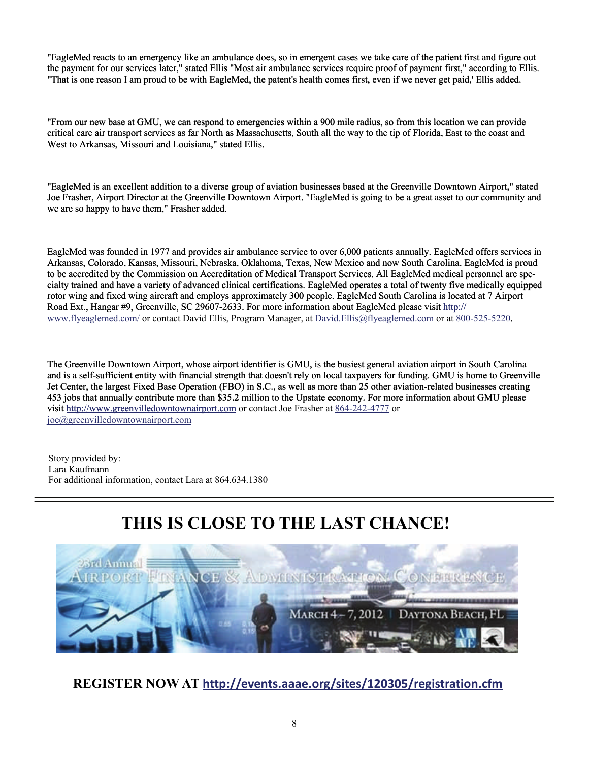"EagleMed reacts to an emergency like an ambulance does, so in emergent cases we take care of the patient first and figure out the payment for our services later," stated Ellis "Most air ambulance services require proof of payment first," according to Ellis. "That is one reason I am proud to be with EagleMed, the patent's health comes first, even if we never get paid,' Ellis added.

"From our new base at GMU, we can respond to emergencies within a 900 mile radius, so from this location we can provide critical care air transport services as far North as Massachusetts, South all the way to the tip of Florida, East to the coast and West to Arkansas, Missouri and Louisiana," stated Ellis. "From our new base at GMU, we can respond to emergencies within a 900 mile radius, so from<br>critical care air transport services as far North as Massachusetts, South all the way to the tip of<br>West to Arkansas, Missouri and

"EagleMed is an excellent addition to a diverse group of aviation businesses based at the Greenville Downtown Airport," stated Joe Frasher, Airport Director at the Greenville Downtown Airport. "EagleMed is going to be a great asset to our community and we are so happy to have them," Frasher added. we are so happy to have them," Frasher added. the payment for our services later," stated Ellis "Most air ambulance services require proof of payment first," according to Ellis.<br>"That is one reason I am proud to be with EagleMed, the patent's health comes first, even

Arkansas, Colorado, Kansas, Missouri, Nebraska, Oklahoma, Texas, New Mexico and now South Carolina. EagleMed is proud to be accredited by the Commission on Accreditation of Medical Transport Services. All EagleMed medical personnel are specialty trained and have a variety of advanced clinical certifications. EagleMed operates a total of twenty five medically equipped rotor wing and fixed wing aircraft and employs approximately 300 people. EagleMed South Carolina is located at 7 Airport Road Ext., Hangar #9, Greenville, SC 29607-2633. For more information about EagleMed please visit http:// www.flyeaglemed.com/ or contact David Ellis, Program Manager, at David.Ellis@flyeaglemed.com or at 800-525-5220. EagleMed was founded in 1977 and provides air ambulance service to over 6,000 patients annually. EagleMed offers servi<br>Arkansas, Colorado, Kansas, Missouri, Nebraska, Oklahoma, Texas, New Mexico and now South Carolina. Eag

The Greenville Downtown Airport, whose airport identifier is GMU, is the busiest general aviation airport in South Carolina and is a self-sufficient entity with financial strength that doesn't rely on local taxpayers for funding. GMU is home to Greenville and is a self-sufficient entity with financial strength that doesn't rely on local taxpayers for funding. GMU is home to Greenvil<br>Jet Center, the largest Fixed Base Operation (FBO) in S.C., as well as more than 25 other av 453 jobs that annually contribute more than \$35.2 million to the Upstate economy. For more information about GMU please visit<http://www.greenvilledowntownairport.com> or contact Joe Frasher at  $864-242-4777$  or visit http://www.greenvilledowntownairport.com or contact Joe Frasher at 864-242-4777 or [joe@greenvilledowntownairport.com](mailto:joe@greenvilledowntownairport.com)

 Story provided by: Lara Kaufmann For additional information, contact Lara at 864.634.1380

### **THIS IS CLOSE TO THE LAST CHANCE!**



**REGISTER NOW AT <http://events.aaae.org/sites/120305/registration.cfm>**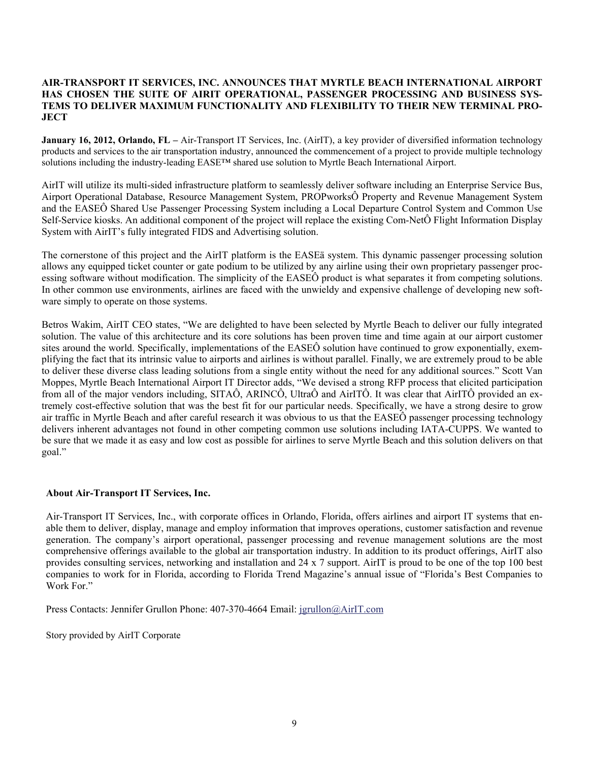#### **AIR-TRANSPORT IT SERVICES, INC. ANNOUNCES THAT MYRTLE BEACH INTERNATIONAL AIRPORT HAS CHOSEN THE SUITE OF AIRIT OPERATIONAL, PASSENGER PROCESSING AND BUSINESS SYS-TEMS TO DELIVER MAXIMUM FUNCTIONALITY AND FLEXIBILITY TO THEIR NEW TERMINAL PRO-JECT**

**January 16, 2012, Orlando, FL –** Air-Transport IT Services, Inc. (AirIT), a key provider of diversified information technology products and services to the air transportation industry, announced the commencement of a project to provide multiple technology solutions including the industry-leading EASE™ shared use solution to Myrtle Beach International Airport.

AirIT will utilize its multi-sided infrastructure platform to seamlessly deliver software including an Enterprise Service Bus, Airport Operational Database, Resource Management System, PROPworksÔ Property and Revenue Management System and the EASEÔ Shared Use Passenger Processing System including a Local Departure Control System and Common Use Self-Service kiosks. An additional component of the project will replace the existing Com-NetÔ Flight Information Display System with AirIT's fully integrated FIDS and Advertising solution.

The cornerstone of this project and the AirIT platform is the EASEä system. This dynamic passenger processing solution allows any equipped ticket counter or gate podium to be utilized by any airline using their own proprietary passenger processing software without modification. The simplicity of the EASEÔ product is what separates it from competing solutions. In other common use environments, airlines are faced with the unwieldy and expensive challenge of developing new software simply to operate on those systems.

Betros Wakim, AirIT CEO states, "We are delighted to have been selected by Myrtle Beach to deliver our fully integrated solution. The value of this architecture and its core solutions has been proven time and time again at our airport customer sites around the world. Specifically, implementations of the EASEÔ solution have continued to grow exponentially, exemplifying the fact that its intrinsic value to airports and airlines is without parallel. Finally, we are extremely proud to be able to deliver these diverse class leading solutions from a single entity without the need for any additional sources." Scott Van Moppes, Myrtle Beach International Airport IT Director adds, "We devised a strong RFP process that elicited participation from all of the major vendors including, SITAÔ, ARINCÔ, UltraÔ and AirITÔ. It was clear that AirITÔ provided an extremely cost-effective solution that was the best fit for our particular needs. Specifically, we have a strong desire to grow air traffic in Myrtle Beach and after careful research it was obvious to us that the EASEÔ passenger processing technology delivers inherent advantages not found in other competing common use solutions including IATA-CUPPS. We wanted to be sure that we made it as easy and low cost as possible for airlines to serve Myrtle Beach and this solution delivers on that goal."

#### **About Air-Transport IT Services, Inc.**

Air-Transport IT Services, Inc., with corporate offices in Orlando, Florida, offers airlines and airport IT systems that enable them to deliver, display, manage and employ information that improves operations, customer satisfaction and revenue generation. The company's airport operational, passenger processing and revenue management solutions are the most comprehensive offerings available to the global air transportation industry. In addition to its product offerings, AirIT also provides consulting services, networking and installation and 24 x 7 support. AirIT is proud to be one of the top 100 best companies to work for in Florida, according to Florida Trend Magazine's annual issue of "Florida's Best Companies to Work For."

Press Contacts: Jennifer Grullon Phone: 407-370-4664 Email: [jgrullon@AirIT.com](mailto:jgrullon@AirIT.com)

Story provided by AirIT Corporate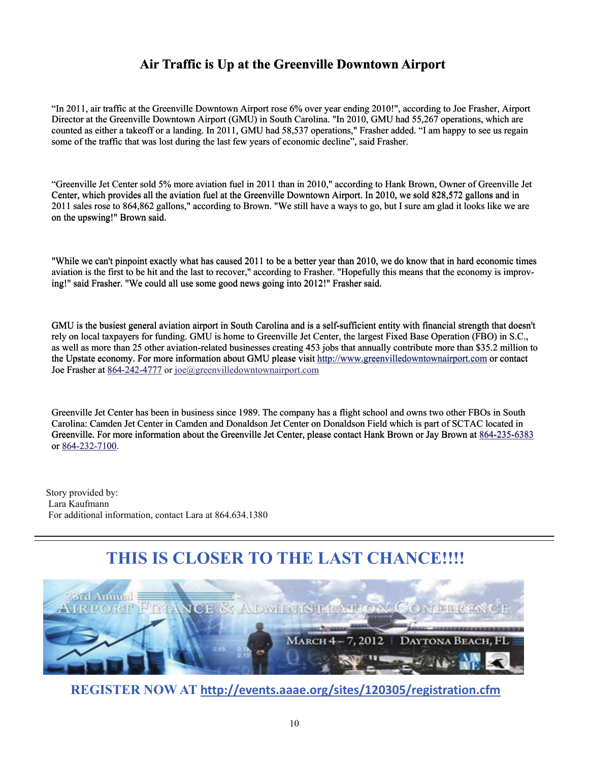#### **Air Traffic is Up at the Greenville Downtown Airport**

"In 2011, air traffic at the Greenville Downtown Airport rose 6% over year ending 2010!", according to Joe Frasher, Airport Director at the Greenville Downtown Airport (GMU) in South Carolina. "In 2010, GMU had 55,267 operations, which are counted as either a takeoff or a landing. In 2011, GMU had 58,537 operations," Frasher added. "I am happy to see us regain some of the traffic that was lost during the last few years of economic decline", said Frasher.

"Greenville Jet Center sold 5% more aviation fuel in 2011 than in 2010," according to Hank Brown, Owner of Greenville Jet Center, which provides all the aviation fuel at the Greenville Downtown Airport. In 2010, we sold 828,572 gallons and in 2011 sales rose to 864,862 gallons," according to Brown. "We still have a ways to go, but I sure am glad it looks like we are on the upswing!" Brown said. Jet Center sold 5% more aviation fuel in 2011 than in 2010," according to Hank Brown, Owner of Greenville<br>th provides all the aviation fuel at the Greenville Downtown Airport. In 2010, we sold 828,572 gallons and in<br>ose to

"While we can't pinpoint exactly what has caused 2011 to be a better year than 2010, we do know that in hard economic times "While we can't pinpoint exactly what has caused 2011 to be a better year than 2010, we do know that in hard economic times aviation is the first to be hit and the last to recover," according to Frasher. "Hopefully this me ing!" said Frasher. "We could all use some good news going into 2012!" Frasher said.

GMU is the busiest general aviation airport in South Carolina and is a self-sufficient entity with financial strength that doesn't GMU is the busiest general aviation airport in South Carolina and is a self-sufficient entity with financial strength that doesn<br>rely on local taxpayers for funding. GMU is home to Greenville Jet Center, the largest Fixed as well as more than 25 other aviation-related businesses creating 453 jobs that annually contribute more than \$35.2 million to as well as more than 25 other aviation-related businesses creating 453 jobs that annually contribute more than \$35.2 million<br>the Upstate economy. For more information about GMU please visit http://www.greenvilledowntownair Joe Frasher at 864-242-4777 or joe@greenvilledowntownairport.com Director at the Greenville Downtown Ariprot (GMU) in South Carolina. "In 2000, GMU had SS,527 operations," Frasher added. "I am happy to see<br>counted as either a takeoff or a landing the 181 few years of economic decine",

Greenville Jet Center has been in business since 1989. The company has a flight school and owns two other FBOs in South Carolina: Camden Jet Center in Camden and Donaldson Jet Center on Donaldson Field which is part of SCTAC located in Greenville. For more information about the Greenville Jet Center, please contact Hank Brown or Jay Brown at 864-235-6383 or 864-232-7100 Carolina: Camden Jet Center in Camden and Donaldson Jet Center on Donaldson Field which is part of SCTAC located in<br>Greenville. For more information about the Greenville Jet Center, please contact Hank Brown or Jay Brown a

 Lara Kaufmann For additional information, contact Lara at 864.634.1380

### **THIS IS CLOSER TO THE LAST CHANCE!!!!**



**REGISTER NOW AT <http://events.aaae.org/sites/120305/registration.cfm>**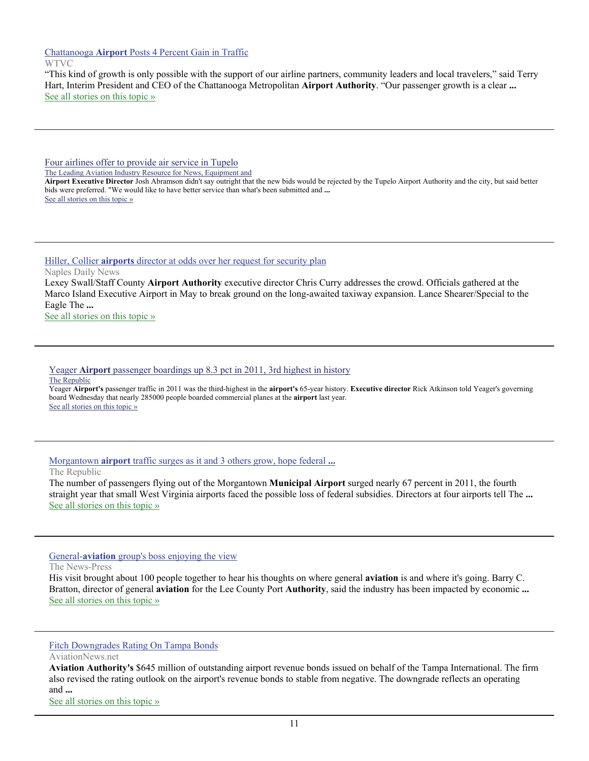Chattanooga **Airport** [Posts 4 Percent Gain in Traffic](http://www.google.com/url?sa=X&q=http://www.newschannel9.com/news/chattanooga-1008398-airport-metropolitan.html&ct=ga&cad=CAEQARgAIAAoATABOAFA6tP7-ARIAVAAWABiAmVu&cd=q8pY7raNnQY&usg=AFQjCNFKUpSBKFmqk8ovNcIa40UbX4KtTw)

#### WTVC

"This kind of growth is only possible with the support of our airline partners, community leaders and local travelers," said Terry Hart, Interim President and CEO of the Chattanooga Metropolitan **Airport Authority**. "Our passenger growth is a clear **...** [See all stories on this topic »](http://www.google.com/url?sa=X&q=http://news.google.com/news/story%3Fncl%3Dhttp://www.newschannel9.com/news/chattanooga-1008398-airport-metropolitan.html%26hl%3Den%26geo%3Dus&ct=ga&cad=CAEQARgAIAAoBjABOAFA6tP7-ARIAVAAWABiAmVu&cd=q8pY7raNnQY&usg=AFQjCNEKkvLZcXrLLDHeLyA3h7cP9dnjmw)

[Four airlines offer to provide air service in Tupelo](http://www.google.com/url?sa=X&q=http://www.aviationpros.com/news/10617539/four-airlines-offer-to-provide-air-service-in-tupelo&ct=ga&cad=CAEQAhgAIAAoATAEOARAhr_7-ARIAVAAWABiAmVu&cd=JdTF2-uuoE0&usg=AFQjCNHcPHBHyk853ZTzSIxdheN5j2QvCg)

The Leading Aviation Industry Resource for News, Equipment and

**Airport Executive Director** Josh Abramson didn't say outright that the new bids would be rejected by the Tupelo Airport Authority and the city, but said better bids were preferred. "We would like to have better service than what's been submitted and **...** [See all stories on this topic »](http://www.google.com/url?sa=X&q=http://news.google.com/news/story%3Fncl%3Dhttp://www.aviationpros.com/news/10617539/four-airlines-offer-to-provide-air-service-in-tupelo%26hl%3Den%26geo%3Dus&ct=ga&cad=CAEQAhgAIAAoBjAEOARAhr_7-ARIAVAAWABiAmVu&cd=JdTF2-uuoE0&usg=AFQjCNGf9xhIIHvwMFPJzwllJv37ERf-2w)

Hiller, Collier **airports** [director at odds over her request for security plan](http://www.google.com/url?sa=X&q=http://www.naplesnews.com/news/2012/jan/23/collier-commission-airport-hiller-curry-security/&ct=ga&cad=CAEQARgAIAAoATAAOABAhJv4-ARIAVAAWABiAmVu&cd=Qu29VSodEQw&usg=AFQjCNHb35JD0Nkq6UvVLKJanDJ3SHahCA)

Naples Daily News

Lexey Swall/Staff County **Airport Authority** executive director Chris Curry addresses the crowd. Officials gathered at the Marco Island Executive Airport in May to break ground on the long-awaited taxiway expansion. Lance Shearer/Special to the Eagle The **...**

[See all stories on this topic »](http://www.google.com/url?sa=X&q=http://news.google.com/news/story%3Fncl%3Dhttp://www.naplesnews.com/news/2012/jan/23/collier-commission-airport-hiller-curry-security/%26hl%3Den%26geo%3Dus&ct=ga&cad=CAEQARgAIAAoBjAAOABAhJv4-ARIAVAAWABiAmVu&cd=Qu29VSodEQw&usg=AFQjCNHd2ojs2Y9zPP4NiWuow7MsKuci-g)

#### Yeager **Airport** [passenger boardings up 8.3 pct in 2011, 3rd highest in history](http://www.google.com/url?sa=X&q=http://www.therepublic.com/view/story/20daff5698b14a9da5857a9906d5fa64/WV--Yeager-Traffic/&ct=ga&cad=CAEQAhgAIAAoATAAOABAhYWG-QRIAVAAWABiAmVu&cd=PtWJvgzDOrc&usg=AFQjCNF0A3-UwRQt3fSgV8sqCbGj0eCR-Q) The Republic

Yeager **Airport's** passenger traffic in 2011 was the third-highest in the **airport's** 65-year history. **Executive director** Rick Atkinson told Yeager's governing board Wednesday that nearly 285000 people boarded commercial planes at the **airport** last year. [See all stories on this topic »](http://www.google.com/url?sa=X&q=http://news.google.com/news/story%3Fncl%3Dhttp://www.therepublic.com/view/story/20daff5698b14a9da5857a9906d5fa64/WV--Yeager-Traffic/%26hl%3Den%26geo%3Dus&ct=ga&cad=CAEQAhgAIAAoBjAAOABAhYWG-QRIAVAAWABiAmVu&cd=PtWJvgzDOrc&usg=AFQjCNE-9nIxBkkAgO47uay7H4NDdfZYZw)

#### Morgantown **airport** [traffic surges as it and 3 others grow, hope federal](http://www.google.com/url?sa=X&q=http://www.therepublic.com/view/story/ad4a8d2f82624533817de0173378123e/WV--Rural-Airports/&ct=ga&cad=CAEQARgAIAAoATAAOABAy-iE-QRIAVAAWABiAmVu&cd=YQxoLTi63pE&usg=AFQjCNH2aqySCJDEu8z_i8ynxiu_REiJIg) **...**

The Republic

The number of passengers flying out of the Morgantown **Municipal Airport** surged nearly 67 percent in 2011, the fourth straight year that small West Virginia airports faced the possible loss of federal subsidies. Directors at four airports tell The **...** [See all stories on this topic »](http://www.google.com/url?sa=X&q=http://news.google.com/news/story%3Fncl%3Dhttp://www.therepublic.com/view/story/ad4a8d2f82624533817de0173378123e/WV--Rural-Airports/%26hl%3Den%26geo%3Dus&ct=ga&cad=CAEQARgAIAAoBjAAOABAy-iE-QRIAVAAWABiAmVu&cd=YQxoLTi63pE&usg=AFQjCNGp_YMSxvYNwoTOM_kEvlmLB8VXJw)

#### General-**aviation** [group's boss enjoying the view](http://www.google.com/url?sa=X&q=http://www.news-press.com/article/20120126/BUSINESS/301260040/General-aviation-group-s-boss-enjoying-view%3Fodyssey%3Dmod%257Cnewswell%257Ctext%257CHome%257Cp&ct=ga&cad=CAEQAhgAIAAoATAEOARAwPuE-QRIAVAAWABiAmVu&cd=tM7L6emHEVE&usg=AFQjCNENZcLwugPElTYrMGticNOmne83kQ)

The News-Press

His visit brought about 100 people together to hear his thoughts on where general **aviation** is and where it's going. Barry C. Bratton, director of general **aviation** for the Lee County Port **Authority**, said the industry has been impacted by economic **...** [See all stories on this topic »](http://www.google.com/url?sa=X&q=http://news.google.com/news/story%3Fncl%3Dhttp://www.news-press.com/article/20120126/BUSINESS/301260040/General-aviation-group-s-boss-enjoying-view%253Fodyssey%253Dmod%25257Cnewswell%25257Ctext%25257CHome%25257Cp%26hl%3Den%26geo%3Dus&ct=ga&cad=CAEQAhgAIAAoBjAEOARAwPuE-QRIAVAAWABiAmVu&cd=tM7L6emHEVE&usg=AFQjCNHJWw0fJ5iJW5VdSG1s2YcQfwWA5Q)

#### [Fitch Downgrades Rating On Tampa Bonds](http://www.google.com/url?sa=X&q=http://www.aviationnews.net/%3Fdo%3Dheadline%26news_ID%3D201126&ct=ga&cad=CAEQAhgAIAAoATAFOAVAwPuE-QRIAVAAWABiAmVu&cd=tM7L6emHEVE&usg=AFQjCNGA1MZCImVeeevduYMHtnCg6CEKJQ)

AviationNews.net

**Aviation Authority's** \$645 million of outstanding airport revenue bonds issued on behalf of the Tampa International. The firm also revised the rating outlook on the airport's revenue bonds to stable from negative. The downgrade reflects an operating and **...**

[See all stories on this topic »](http://www.google.com/url?sa=X&q=http://news.google.com/news/story%3Fncl%3Dhttp://www.aviationnews.net/%253Fdo%253Dheadline%2526news_ID%253D201126%26hl%3Den%26geo%3Dus&ct=ga&cad=CAEQAhgAIAAoBjAFOAVAwPuE-QRIAVAAWABiAmVu&cd=tM7L6emHEVE&usg=AFQjCNH1CLb-N6JOyRA3a0WI42krl2ixuQ)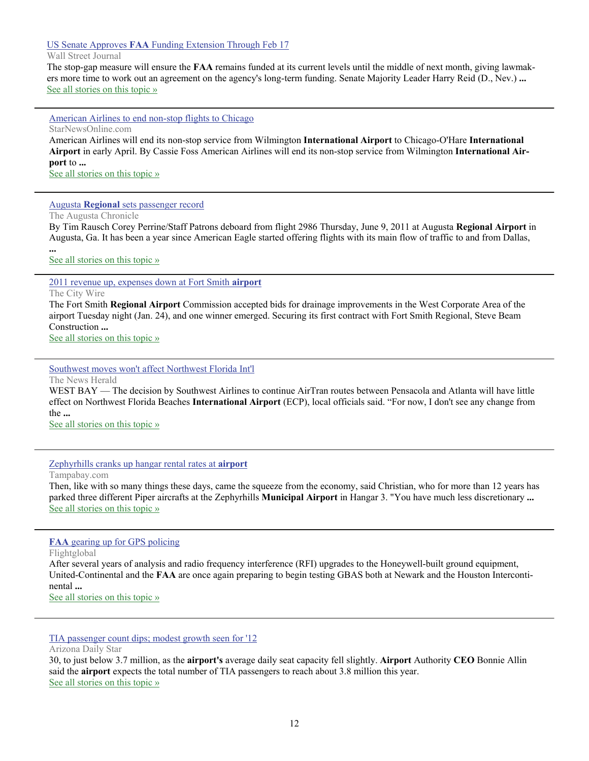#### US Senate Approves **FAA** [Funding Extension Through Feb 17](http://www.google.com/url?sa=X&q=http://online.wsj.com/article/BT-CO-20120126-718677.html&ct=ga&cad=CAcQARgAIAAoATAAOABAvbmH-QRIAVAAWABiBWVuLVVT&cd=731AOtpt14w&usg=AFQjCNEJ858_GMtmChWv5YOxiJlnTGa5DA)

#### Wall Street Journal

The stop-gap measure will ensure the **FAA** remains funded at its current levels until the middle of next month, giving lawmakers more time to work out an agreement on the agency's long-term funding. Senate Majority Leader Harry Reid (D., Nev.) **...** [See all stories on this topic »](http://www.google.com/url?sa=X&q=http://news.google.com/news/story%3Fncl%3Dhttp://online.wsj.com/article/BT-CO-20120126-718677.html%26hl%3Den%26geo%3Dus&ct=ga&cad=CAcQARgAIAAoBjAAOABAvbmH-QRIAVAAWABiBWVuLVVT&cd=731AOtpt14w&usg=AFQjCNHWcEKpdzZb280h33Igyc5bZhDV4g)

[American Airlines to end non-stop flights to Chicago](http://www.google.com/url?sa=X&q=http://www.starnewsonline.com/article/20120125/ARTICLES/120129800/1002%3FTitle%3DAmerican-Airlines-to-end-non-stop-flights-to-Chicago-&ct=ga&cad=CAEQARgAIAAoATABOAFAsKSB-QRIAVAAWABiAmVu&cd=C-SRJfVImqQ&usg=AFQjCNF47PlUfvjxr-3mN2cST5_hDy3aWw)

StarNewsOnline.com

American Airlines will end its non-stop service from Wilmington **International Airport** to Chicago-O'Hare **International Airport** in early April. By Cassie Foss American Airlines will end its non-stop service from Wilmington **International Airport** to **...**

[See all stories on this topic »](http://www.google.com/url?sa=X&q=http://news.google.com/news/story%3Fncl%3Dhttp://www.starnewsonline.com/article/20120125/ARTICLES/120129800/1002%253FTitle%253DAmerican-Airlines-to-end-non-stop-flights-to-Chicago-%26hl%3Den%26geo%3Dus&ct=ga&cad=CAEQARgAIAAoBjABOAFAsKSB-QRIAVAAWABiAmVu&cd=C-SRJfVImqQ&usg=AFQjCNEaleDx59wWpH4scm20v7hXQJSVUA)

#### Augusta **Regional** [sets passenger record](http://www.google.com/url?sa=X&q=http://chronicle.augusta.com/news/business/2012-01-25/augusta-regional-sets-passenger-record%3Fv%3D1327487003&ct=ga&cad=CAEQARgAIAAoATAAOABA1MiA-QRIAVAAWABiAmVu&cd=S6eBWmKOtmA&usg=AFQjCNGE_moanrWDUgdSGsEQ3Sp3bExs2g)

The Augusta Chronicle

By Tim Rausch Corey Perrine/Staff Patrons deboard from flight 2986 Thursday, June 9, 2011 at Augusta **Regional Airport** in Augusta, Ga. It has been a year since American Eagle started offering flights with its main flow of traffic to and from Dallas,

[See all stories on this topic »](http://www.google.com/url?sa=X&q=http://news.google.com/news/story%3Fncl%3Dhttp://chronicle.augusta.com/news/business/2012-01-25/augusta-regional-sets-passenger-record%253Fv%253D1327487003%26hl%3Den%26geo%3Dus&ct=ga&cad=CAEQARgAIAAoBjAAOABA1MiA-QRIAVAAWABiAmVu&cd=S6eBWmKOtmA&usg=AFQjCNFA2JlnZTH05JfYPQkTQ7Zht-jAyQ)

[2011 revenue up, expenses down at Fort Smith](http://www.google.com/url?sa=X&q=http://www.thecitywire.com/node/20018&ct=ga&cad=CAEQARgAIAAoATACOAJA1MiA-QRIAVAAWABiAmVu&cd=S6eBWmKOtmA&usg=AFQjCNEdGFTqYvLQgbngdt_3e3Mw7DhYgQ) **airport**

The City Wire

**...**

The Fort Smith **Regional Airport** Commission accepted bids for drainage improvements in the West Corporate Area of the airport Tuesday night (Jan. 24), and one winner emerged. Securing its first contract with Fort Smith Regional, Steve Beam Construction **...**

[See all stories on this topic »](http://www.google.com/url?sa=X&q=http://news.google.com/news/story%3Fncl%3Dhttp://www.thecitywire.com/node/20018%26hl%3Den%26geo%3Dus&ct=ga&cad=CAEQARgAIAAoBjACOAJA1MiA-QRIAVAAWABiAmVu&cd=S6eBWmKOtmA&usg=AFQjCNEWxF868hYg_Gg_OJ9tw4403g-TgA)

[Southwest moves won't affect Northwest Florida Int'l](http://www.google.com/url?sa=X&q=http://www.newsherald.com/articles/int-99889-moves-northwest.html&ct=ga&cad=CAEQARgAIAAoATACOAJAgoiA-QRIAVAAWABiAmVu&cd=Wq04QldgYkM&usg=AFQjCNH09zrw0R7cmgQ18S-M9bRhJbbhSQ)

The News Herald

WEST BAY — The decision by Southwest Airlines to continue AirTran routes between Pensacola and Atlanta will have little effect on Northwest Florida Beaches **International Airport** (ECP), local officials said. "For now, I don't see any change from the **...**

[See all stories on this topic »](http://www.google.com/url?sa=X&q=http://news.google.com/news/story%3Fncl%3Dhttp://www.newsherald.com/articles/int-99889-moves-northwest.html%26hl%3Den%26geo%3Dus&ct=ga&cad=CAEQARgAIAAoBjACOAJAgoiA-QRIAVAAWABiAmVu&cd=Wq04QldgYkM&usg=AFQjCNERVWzI2mL52VvqLXfvuFgLCfwfGg)

#### [Zephyrhills cranks up hangar rental rates at](http://www.google.com/url?sa=X&q=http://www.tampabay.com/news/localgovernment/zephyrhills-cranks-up-hangar-rental-rates-at-airport/1212132&ct=ga&cad=CAEQARgAIAAoATAAOABA19P9-ARIAVAAWABiAmVu&cd=1IPGWS8kbzg&usg=AFQjCNGGuR-5652LJmvbpKABO9KOZy-M6g) **airport**

Tampabay.com

Then, like with so many things these days, came the squeeze from the economy, said Christian, who for more than 12 years has parked three different Piper aircrafts at the Zephyrhills **Municipal Airport** in Hangar 3. "You have much less discretionary **...** [See all stories on this topic »](http://www.google.com/url?sa=X&q=http://news.google.com/news/story%3Fncl%3Dhttp://www.tampabay.com/news/localgovernment/zephyrhills-cranks-up-hangar-rental-rates-at-airport/1212132%26hl%3Den%26geo%3Dus&ct=ga&cad=CAEQARgAIAAoBjAAOABA19P9-ARIAVAAWABiAmVu&cd=1IPGWS8kbzg&usg=AFQjCNFqKqb0Hdsj2oytGwzoor_FE0OZlw)

#### **FAA** [gearing up for GPS policing](http://www.google.com/url?sa=X&q=http://www.flightglobal.com/news/articles/faa-gearing-up-for-gps-policing-367310/&ct=ga&cad=CAcQARgAIAAoATABOAFAstj8-ARIAVAAWABiBWVuLVVT&cd=rLutb3VGknA&usg=AFQjCNFGZHcNt1yLG1xWEiBUDHFXjik75w)

Flightglobal

After several years of analysis and radio frequency interference (RFI) upgrades to the Honeywell-built ground equipment, United-Continental and the **FAA** are once again preparing to begin testing GBAS both at Newark and the Houston Intercontinental **...**

[See all stories on this topic »](http://www.google.com/url?sa=X&q=http://news.google.com/news/story%3Fncl%3Dhttp://www.flightglobal.com/news/articles/faa-gearing-up-for-gps-policing-367310/%26hl%3Den%26geo%3Dus&ct=ga&cad=CAcQARgAIAAoBjABOAFAstj8-ARIAVAAWABiBWVuLVVT&cd=rLutb3VGknA&usg=AFQjCNEGL4FJvxZ-2uLUm-WnGBsiHFkuoQ)

#### [TIA passenger count dips; modest growth seen for '12](http://www.google.com/url?sa=X&q=http://azstarnet.com/business/local/tia-passenger-count-dips-modest-growth-seen-for/article_e2579994-6374-5d09-9f71-11f7132d44fc.html&ct=ga&cad=CAEQAhgAIAAoATAHOAdA6Nj9-ARIAVAAWABiAmVu&cd=SMNGRiQNN3U&usg=AFQjCNGtTLdV3R8xpRldZw_HI12ykkIHng)

Arizona Daily Star

30, to just below 3.7 million, as the **airport's** average daily seat capacity fell slightly. **Airport** Authority **CEO** Bonnie Allin said the **airport** expects the total number of TIA passengers to reach about 3.8 million this year. [See all stories on this topic »](http://www.google.com/url?sa=X&q=http://news.google.com/news/story%3Fncl%3Dhttp://azstarnet.com/business/local/tia-passenger-count-dips-modest-growth-seen-for/article_e2579994-6374-5d09-9f71-11f7132d44fc.html%26hl%3Den%26geo%3Dus&ct=ga&cad=CAEQAhgAIAAoBjAHOAdA6Nj9-ARIAVAAWABiAmVu&cd=SMNGRiQNN3U&usg=AFQjCNFNCeJGj8sXmTWDdU-dccRQuEy-mA)